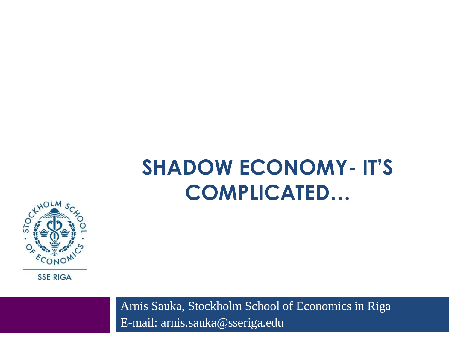#### **SHADOW ECONOMY- IT'S COMPLICATED…**



**SSE RIGA** 

Arnis Sauka, Stockholm School of Economics in Riga E-mail: arnis.sauka@sseriga.edu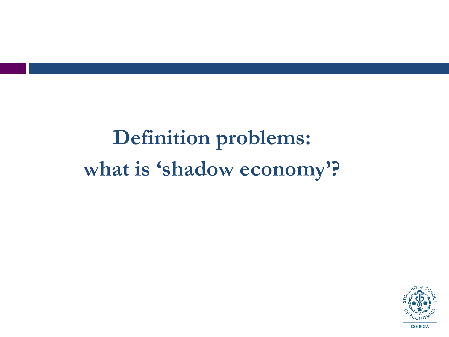## **Definition problems:** what is 'shadow economy'?

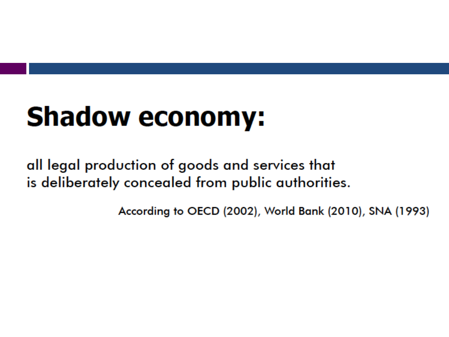# **Shadow economy:**

all legal production of goods and services that is deliberately concealed from public authorities.

According to OECD (2002), World Bank (2010), SNA (1993)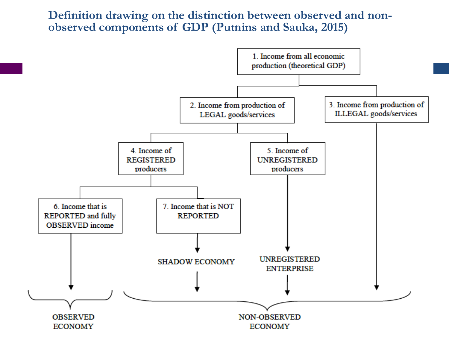#### **Definition drawing on the distinction between observed and nonobserved components of GDP (Putnins and Sauka, 2015)**

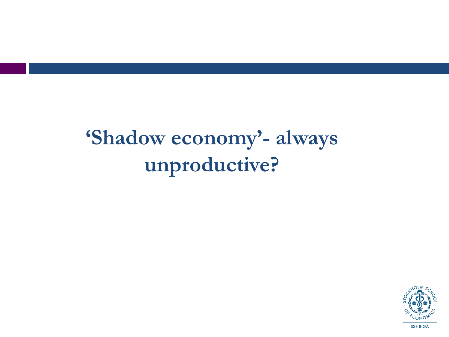### **'Shadow economy'- always unproductive?**

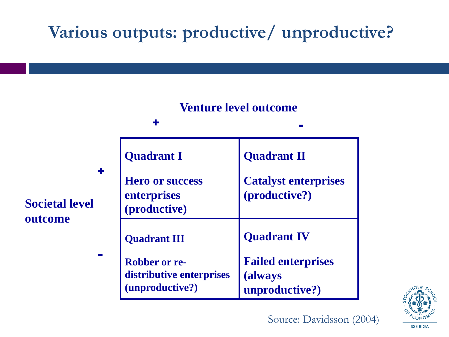#### **Various outputs: productive/ unproductive?**





Source: Davidsson (2004)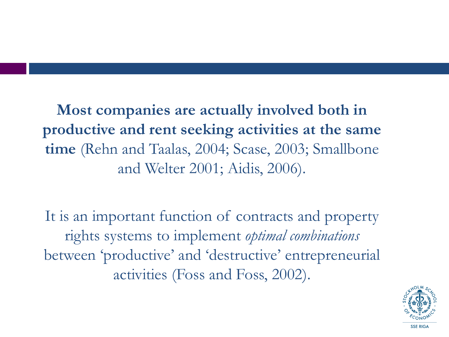**Most companies are actually involved both in productive and rent seeking activities at the same time** (Rehn and Taalas, 2004; Scase, 2003; Smallbone and Welter 2001; Aidis, 2006).

It is an important function of contracts and property rights systems to implement *optimal combinations* between 'productive' and 'destructive' entrepreneurial activities (Foss and Foss, 2002).

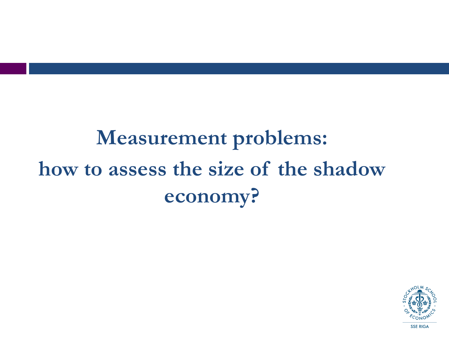## **Measurement problems: how to assess the size of the shadow economy?**

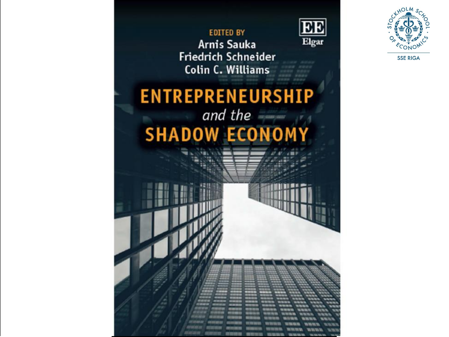

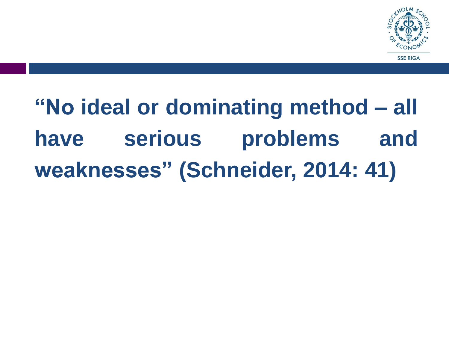

# **"No ideal or dominating method – all have serious problems and weaknesses" (Schneider, 2014: 41)**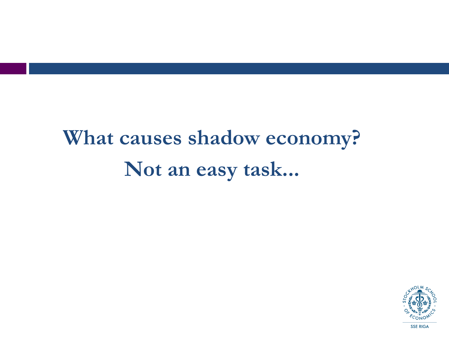## **What causes shadow economy? Not an easy task...**

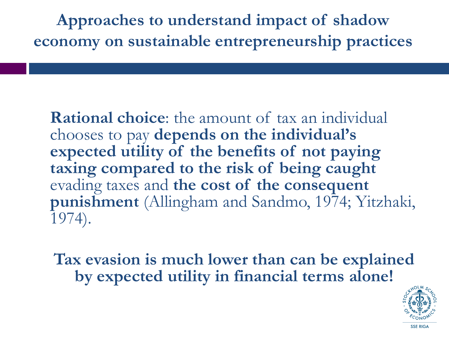**Approaches to understand impact of shadow economy on sustainable entrepreneurship practices**

**Rational choice**: the amount of tax an individual chooses to pay **depends on the individual's expected utility of the benefits of not paying taxing compared to the risk of being caught** evading taxes and **the cost of the consequent punishment** (Allingham and Sandmo, 1974; Yitzhaki, 1974).

**Tax evasion is much lower than can be explained by expected utility in financial terms alone!**

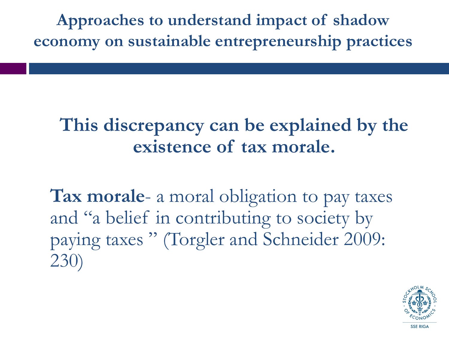**Approaches to understand impact of shadow economy on sustainable entrepreneurship practices**

#### **This discrepancy can be explained by the existence of tax morale.**

**Tax morale**- a moral obligation to pay taxes and "a belief in contributing to society by paying taxes " (Torgler and Schneider 2009: 230)

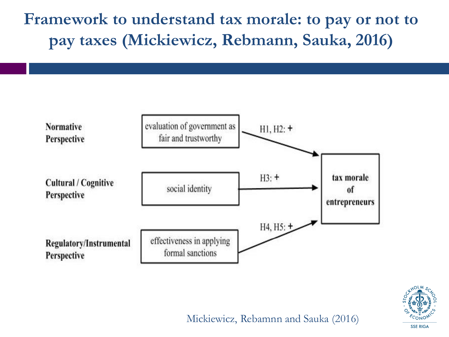**Framework to understand tax morale: to pay or not to pay taxes (Mickiewicz, Rebmann, Sauka, 2016)**





Mickiewicz, Rebamnn and Sauka (2016)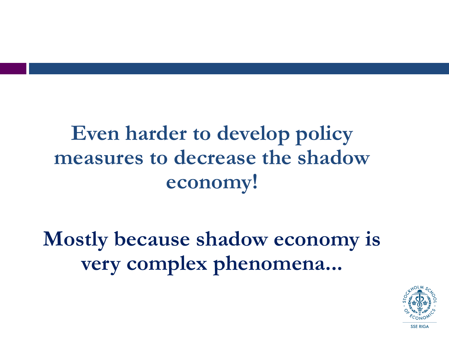#### **Even harder to develop policy measures to decrease the shadow economy!**

**Mostly because shadow economy is very complex phenomena...**

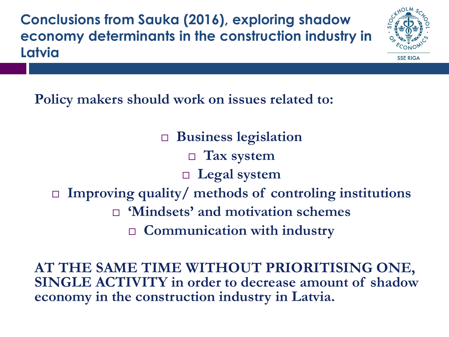**Conclusions from Sauka (2016), exploring shadow economy determinants in the construction industry in Latvia**



**Policy makers should work on issues related to:**

 **Business legislation Tax system Legal system Improving quality/ methods of controling institutions 'Mindsets' and motivation schemes Communication with industry**

**AT THE SAME TIME WITHOUT PRIORITISING ONE, SINGLE ACTIVITY in order to decrease amount of shadow economy in the construction industry in Latvia.**